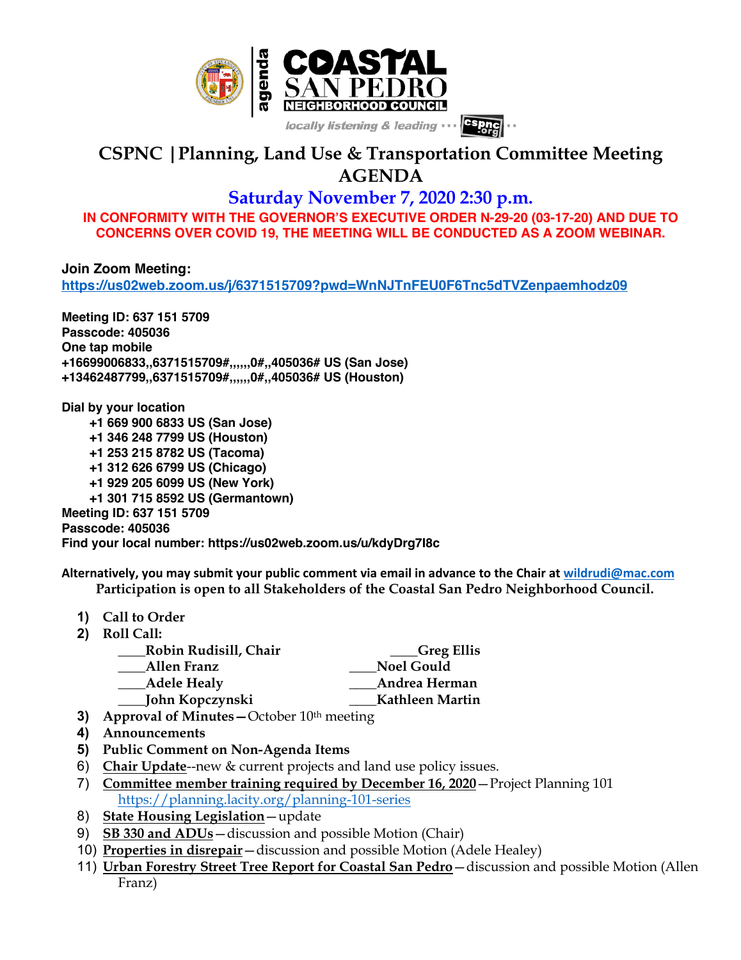

## **CSPNC |Planning, Land Use & Transportation Committee Meeting AGENDA**

## **Saturday November 7, 2020 2:30 p.m.**

**IN CONFORMITY WITH THE GOVERNOR'S EXECUTIVE ORDER N-29-20 (03-17-20) AND DUE TO CONCERNS OVER COVID 19, THE MEETING WILL BE CONDUCTED AS A ZOOM WEBINAR.**

**Join Zoom Meeting: https://us02web.zoom.us/j/6371515709?pwd=WnNJTnFEU0F6Tnc5dTVZenpaemhodz09**

**Meeting ID: 637 151 5709 Passcode: 405036 One tap mobile +16699006833,,6371515709#,,,,,,0#,,405036# US (San Jose) +13462487799,,6371515709#,,,,,,0#,,405036# US (Houston)**

**Dial by your location +1 669 900 6833 US (San Jose) +1 346 248 7799 US (Houston) +1 253 215 8782 US (Tacoma) +1 312 626 6799 US (Chicago) +1 929 205 6099 US (New York) +1 301 715 8592 US (Germantown) Meeting ID: 637 151 5709 Passcode: 405036 Find your local number: https://us02web.zoom.us/u/kdyDrg7I8c**

**Alternatively, you may submit your public comment via email in advance to the Chair at wildrudi@mac.com Participation is open to all Stakeholders of the Coastal San Pedro Neighborhood Council.**

- **1) Call to Order**
- **2) Roll Call:**
	- **\_\_\_\_Robin Rudisill, Chair \_\_\_\_Greg Ellis**
	- **\_\_\_\_Allen Franz \_\_\_\_Noel Gould**
	- **\_\_\_\_Adele Healy \_\_\_\_Andrea Herman**
	- **\_\_\_\_John Kopczynski \_\_\_\_Kathleen Martin**
- **3) Approval of Minutes** October 10<sup>th</sup> meeting
- **4) Announcements**
- **5) Public Comment on Non-Agenda Items**
- 6) **Chair Update**--new & current projects and land use policy issues.
- 7) **Committee member training required by December 16, 2020**—Project Planning 101 https://planning.lacity.org/planning-101-series
- 8) **State Housing Legislation**—update
- 9) **SB 330 and ADUs**—discussion and possible Motion (Chair)
- 10) **Properties in disrepair**—discussion and possible Motion (Adele Healey)
- 11) **Urban Forestry Street Tree Report for Coastal San Pedro**—discussion and possible Motion (Allen Franz)